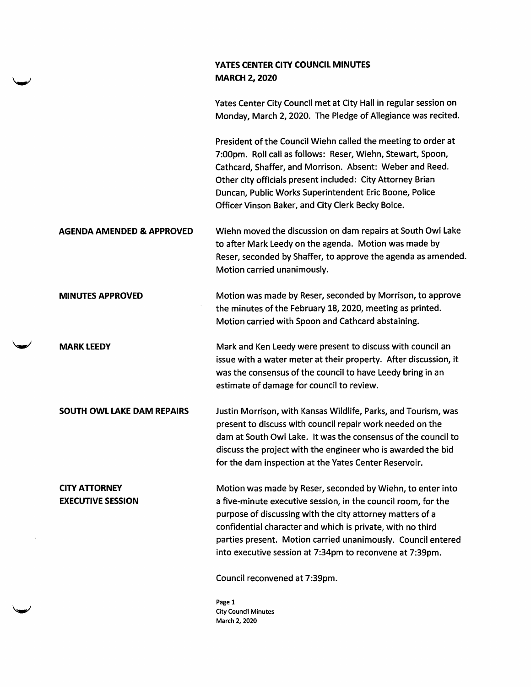## YATES CENTER CITY COUNCIL MINUTES MARCH 2, 2020

Yates Center City Council met at City Hall in regular session on Monday, March 2,2020. The Pledge of Allegiance was recited.

President of the Council Wiehn called the meeting to order at 7:00pm. Roll call as follows: Reser, Wiehn, Stewart, Spoon, Cathcard, Shaffer, and Morrison. Absent: Weber and Reed. Other city officials present included: City Attorney Brian Duncan, Public Works Superintendent Eric Boone, Police Officer Vinson Baker, and City Clerk Becky Boice.

AGENDA AMENDED & APPROVED Wiehn moved the discussion on dam repairs at South Owl Lake to after Mark Leedy on the agenda. Motion was made by Reser, seconded by Shaffer, to approve the agenda as amended. Motion carried unanimously.

MINUTES APPROVED Motion was made by Reser, seconded by Morrison, to approve the minutes of the February 18, 2020, meeting as printed. Motion carried with Spoon and Cathcard abstaining.

MARK LEEDY Mark and Ken Leedy were present to discuss with council an issue with a water meter at their property. After discussion, it was the consensus of the council to have Leedy bring in an estimate of damage for council to review.

SOUTH OWL LAKE DAM REPAIRS Justin Morrison, with Kansas Wildlife, Parks, and Tourism, was present to discuss with council repair work needed on the dam at South Owl Lake. It was the consensus of the council to discuss the project with the engineer who is awarded the bid for the dam inspection at the Yates Center Reservoir.

CITY ATTORNEY EXECUTIVE SESSION Motion was made by Reser, seconded by Wiehn, to enter into a five-minute executive session, in the council room, for the purpose of discussing with the city attorney matters of a confidential character and which is private, with no third parties present. Motion carried unanimously. Council entered into executive session at 7:34pm to reconvene at 7:39pm.

Council reconvened at 7:39pm.

Page 1 City Council Minutes March 2, 2020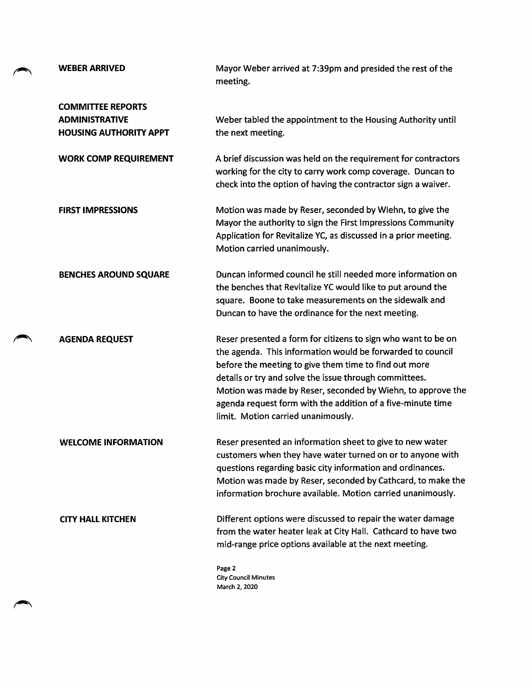| <b>WEBER ARRIVED</b>                                                               | Mayor Weber arrived at 7:39pm and presided the rest of the<br>meeting.                                                                                                                                                                                                                                                                                                                                             |
|------------------------------------------------------------------------------------|--------------------------------------------------------------------------------------------------------------------------------------------------------------------------------------------------------------------------------------------------------------------------------------------------------------------------------------------------------------------------------------------------------------------|
| <b>COMMITTEE REPORTS</b><br><b>ADMINISTRATIVE</b><br><b>HOUSING AUTHORITY APPT</b> | Weber tabled the appointment to the Housing Authority until<br>the next meeting.                                                                                                                                                                                                                                                                                                                                   |
| <b>WORK COMP REQUIREMENT</b>                                                       | A brief discussion was held on the requirement for contractors<br>working for the city to carry work comp coverage. Duncan to<br>check into the option of having the contractor sign a waiver.                                                                                                                                                                                                                     |
| <b>FIRST IMPRESSIONS</b>                                                           | Motion was made by Reser, seconded by Wiehn, to give the<br>Mayor the authority to sign the First Impressions Community<br>Application for Revitalize YC, as discussed in a prior meeting.<br>Motion carried unanimously.                                                                                                                                                                                          |
| <b>BENCHES AROUND SQUARE</b>                                                       | Duncan informed council he still needed more information on<br>the benches that Revitalize YC would like to put around the<br>square. Boone to take measurements on the sidewalk and<br>Duncan to have the ordinance for the next meeting.                                                                                                                                                                         |
| <b>AGENDA REQUEST</b>                                                              | Reser presented a form for citizens to sign who want to be on<br>the agenda. This information would be forwarded to council<br>before the meeting to give them time to find out more<br>details or try and solve the issue through committees.<br>Motion was made by Reser, seconded by Wiehn, to approve the<br>agenda request form with the addition of a five-minute time<br>limit. Motion carried unanimously. |
| <b>WELCOME INFORMATION</b>                                                         | Reser presented an information sheet to give to new water<br>customers when they have water turned on or to anyone with<br>questions regarding basic city information and ordinances.<br>Motion was made by Reser, seconded by Cathcard, to make the<br>information brochure available. Motion carried unanimously.                                                                                                |
| <b>CITY HALL KITCHEN</b>                                                           | Different options were discussed to repair the water damage<br>from the water heater leak at City Hall. Cathcard to have two<br>mid-range price options available at the next meeting.                                                                                                                                                                                                                             |
|                                                                                    | Page 2<br><b>City Council Minutes</b><br>March 2, 2020                                                                                                                                                                                                                                                                                                                                                             |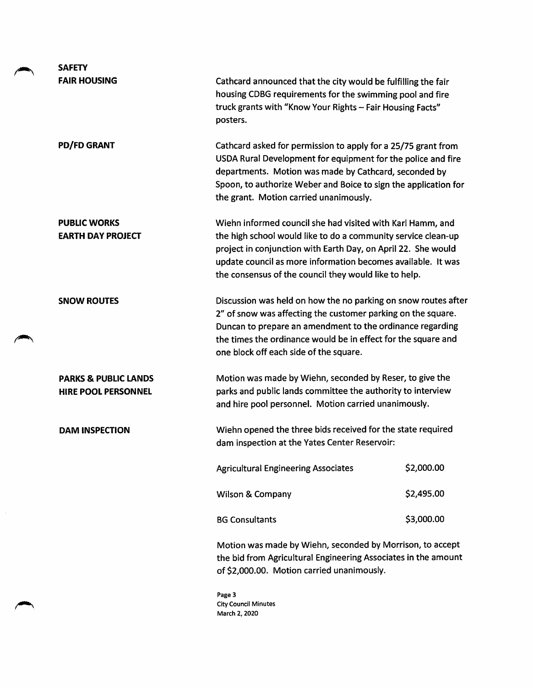| <b>SAFETY</b>                                                 |                                                                                                                                                                                                                                                                                                                       |            |
|---------------------------------------------------------------|-----------------------------------------------------------------------------------------------------------------------------------------------------------------------------------------------------------------------------------------------------------------------------------------------------------------------|------------|
| <b>FAIR HOUSING</b>                                           | Cathcard announced that the city would be fulfilling the fair<br>housing CDBG requirements for the swimming pool and fire<br>truck grants with "Know Your Rights - Fair Housing Facts"<br>posters.                                                                                                                    |            |
| <b>PD/FD GRANT</b>                                            | Cathcard asked for permission to apply for a 25/75 grant from<br>USDA Rural Development for equipment for the police and fire<br>departments. Motion was made by Cathcard, seconded by<br>Spoon, to authorize Weber and Boice to sign the application for<br>the grant. Motion carried unanimously.                   |            |
| <b>PUBLIC WORKS</b><br><b>EARTH DAY PROJECT</b>               | Wiehn informed council she had visited with Karl Hamm, and<br>the high school would like to do a community service clean-up<br>project in conjunction with Earth Day, on April 22. She would<br>update council as more information becomes available. It was<br>the consensus of the council they would like to help. |            |
| <b>SNOW ROUTES</b>                                            | Discussion was held on how the no parking on snow routes after<br>2" of snow was affecting the customer parking on the square.<br>Duncan to prepare an amendment to the ordinance regarding<br>the times the ordinance would be in effect for the square and<br>one block off each side of the square.                |            |
| <b>PARKS &amp; PUBLIC LANDS</b><br><b>HIRE POOL PERSONNEL</b> | Motion was made by Wiehn, seconded by Reser, to give the<br>parks and public lands committee the authority to interview<br>and hire pool personnel. Motion carried unanimously.                                                                                                                                       |            |
| <b>DAM INSPECTION</b>                                         | Wiehn opened the three bids received for the state required<br>dam inspection at the Yates Center Reservoir:                                                                                                                                                                                                          |            |
|                                                               | <b>Agricultural Engineering Associates</b>                                                                                                                                                                                                                                                                            | \$2,000.00 |
|                                                               | <b>Wilson &amp; Company</b>                                                                                                                                                                                                                                                                                           | \$2,495.00 |
|                                                               | <b>BG Consultants</b>                                                                                                                                                                                                                                                                                                 | \$3,000.00 |
|                                                               | Motion was made by Wiehn, seconded by Morrison, to accept<br>the bid from Agricultural Engineering Associates in the amount<br>of \$2,000.00. Motion carried unanimously.                                                                                                                                             |            |
|                                                               |                                                                                                                                                                                                                                                                                                                       |            |

 $\mathcal{P}$ 

 $\hat{\mathcal{A}}$ 

Page 3 City Council Minutes March 2, 2020